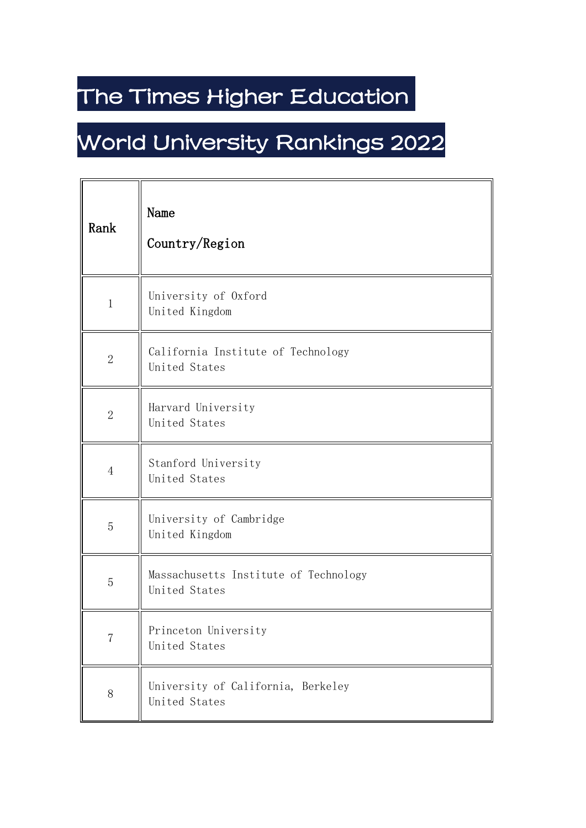## The Times Higher Education

## World University Rankings 2022

| Rank           | Name<br>Country/Region                                 |
|----------------|--------------------------------------------------------|
| $\,1$          | University of Oxford<br>United Kingdom                 |
| $\overline{2}$ | California Institute of Technology<br>United States    |
| $\mathbf{2}$   | Harvard University<br>United States                    |
| $\overline{4}$ | Stanford University<br>United States                   |
| $\overline{5}$ | University of Cambridge<br>United Kingdom              |
| 5              | Massachusetts Institute of Technology<br>United States |
| $\overline{7}$ | Princeton University<br>United States                  |
| $8\,$          | University of California, Berkeley<br>United States    |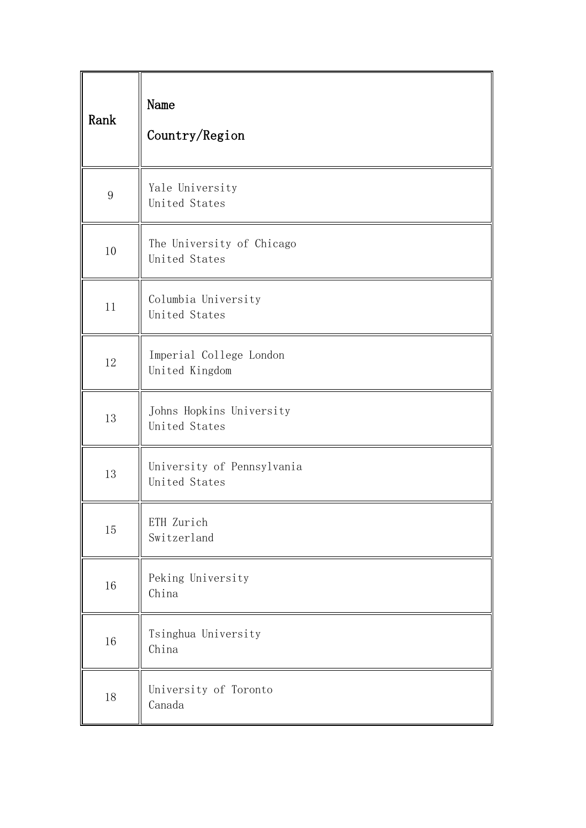| Rank             | Name<br>Country/Region                      |
|------------------|---------------------------------------------|
| $\boldsymbol{9}$ | Yale University<br>United States            |
| 10               | The University of Chicago<br>United States  |
| 11               | Columbia University<br>United States        |
| 12               | Imperial College London<br>United Kingdom   |
| 13               | Johns Hopkins University<br>United States   |
| 13               | University of Pennsylvania<br>United States |
| $15\,$           | ETH Zurich<br>Switzerland                   |
| 16               | Peking University<br>China                  |
| $16\,$           | Tsinghua University<br>China                |
| 18               | University of Toronto<br>Canada             |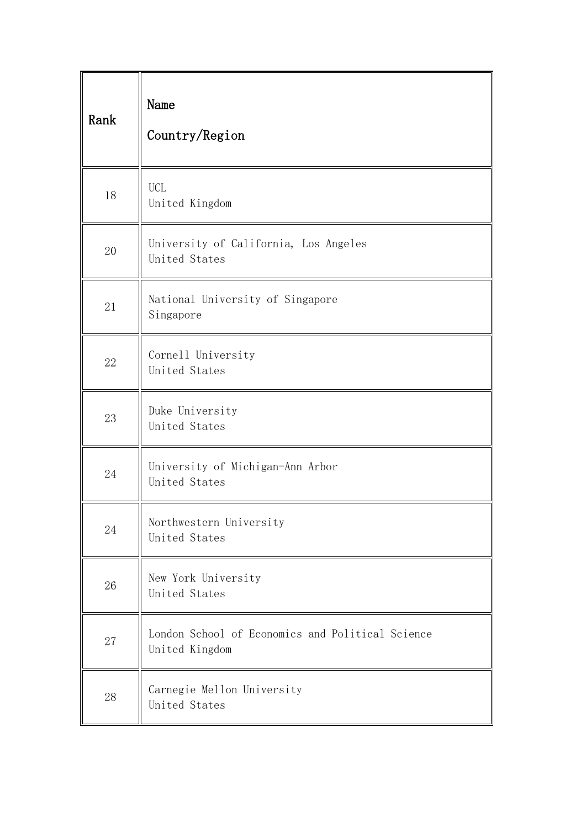| Rank | Name<br>Country/Region                                             |
|------|--------------------------------------------------------------------|
| 18   | <b>UCL</b><br>United Kingdom                                       |
| 20   | University of California, Los Angeles<br>United States             |
| 21   | National University of Singapore<br>Singapore                      |
| 22   | Cornell University<br>United States                                |
| 23   | Duke University<br>United States                                   |
| 24   | University of Michigan-Ann Arbor<br>United States                  |
| 24   | Northwestern University<br>United States                           |
| 26   | New York University<br>United States                               |
| 27   | London School of Economics and Political Science<br>United Kingdom |
| 28   | Carnegie Mellon University<br>United States                        |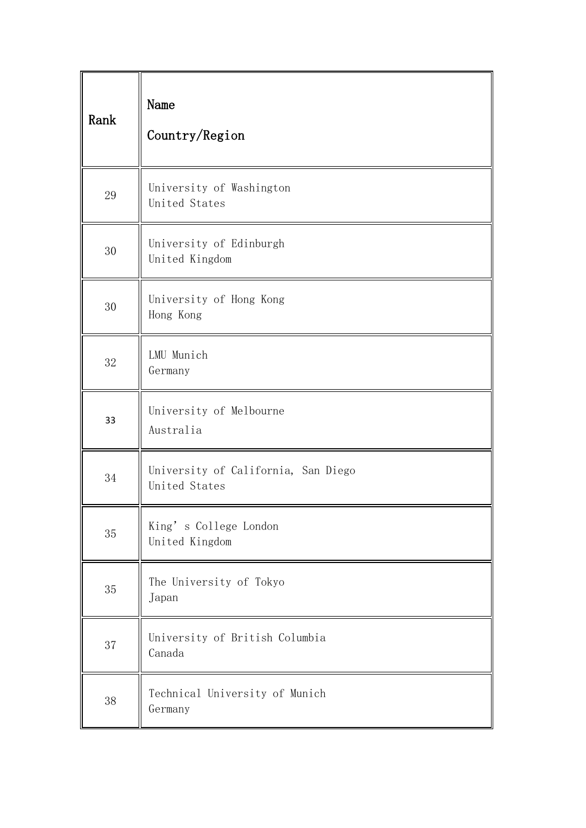| Rank | Name<br>Country/Region                               |
|------|------------------------------------------------------|
| 29   | University of Washington<br>United States            |
| 30   | University of Edinburgh<br>United Kingdom            |
| 30   | University of Hong Kong<br>Hong Kong                 |
| 32   | LMU Munich<br>Germany                                |
| 33   | University of Melbourne<br>Australia                 |
| 34   | University of California, San Diego<br>United States |
| 35   | King's College London<br>United Kingdom              |
| 35   | The University of Tokyo<br>Japan                     |
| 37   | University of British Columbia<br>Canada             |
| 38   | Technical University of Munich<br>Germany            |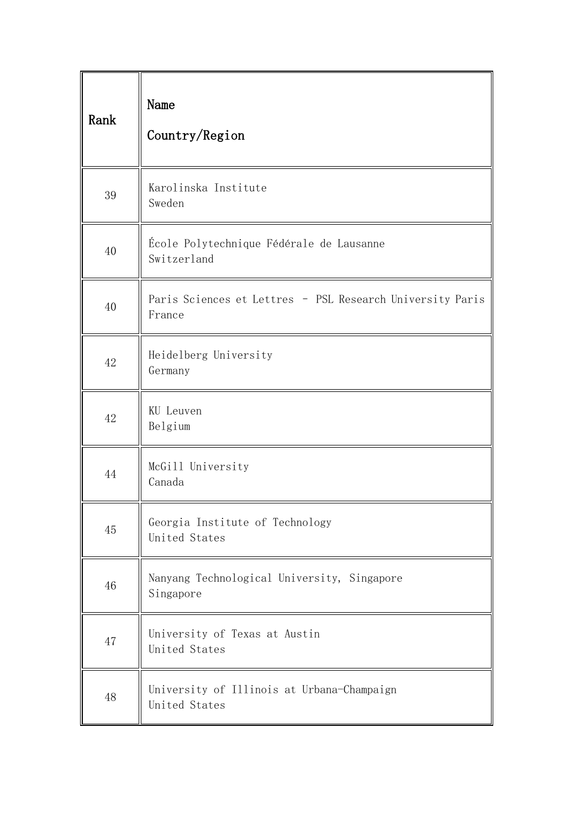| Rank | Name<br>Country/Region                                              |  |
|------|---------------------------------------------------------------------|--|
| 39   | Karolinska Institute<br>Sweden                                      |  |
| 40   | École Polytechnique Fédérale de Lausanne<br>Switzerland             |  |
| 40   | Paris Sciences et Lettres - PSL Research University Paris<br>France |  |
| 42   | Heidelberg University<br>Germany                                    |  |
| 42   | KU Leuven<br>Belgium                                                |  |
| 44   | McGill University<br>Canada                                         |  |
| 45   | Georgia Institute of Technology<br>United States                    |  |
| 46   | Nanyang Technological University, Singapore<br>Singapore            |  |
| 47   | University of Texas at Austin<br>United States                      |  |
| 48   | University of Illinois at Urbana-Champaign<br>United States         |  |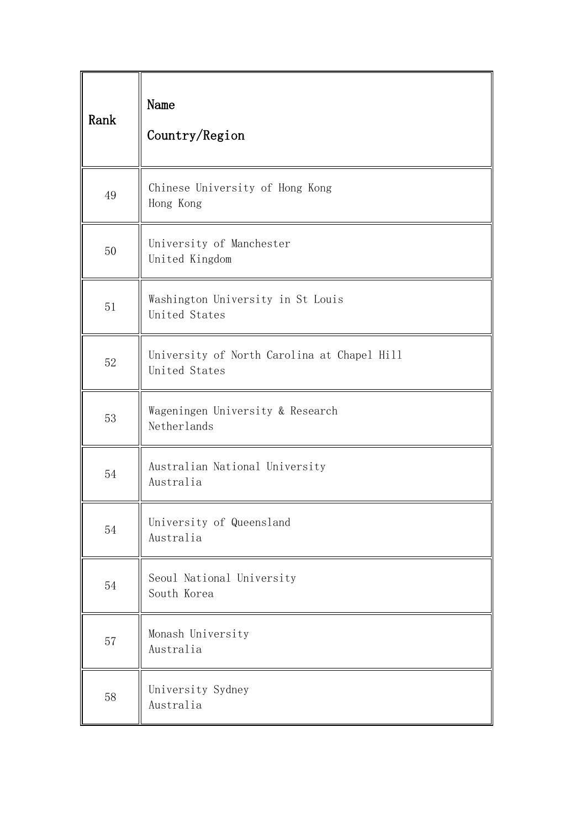| Rank | Name<br>Country/Region                                       |
|------|--------------------------------------------------------------|
| 49   | Chinese University of Hong Kong<br>Hong Kong                 |
| 50   | University of Manchester<br>United Kingdom                   |
| 51   | Washington University in St Louis<br>United States           |
| 52   | University of North Carolina at Chapel Hill<br>United States |
| 53   | Wageningen University & Research<br>Netherlands              |
| 54   | Australian National University<br>Australia                  |
| 54   | University of Queensland<br>Australia                        |
| 54   | Seoul National University<br>South Korea                     |
| 57   | Monash University<br>Australia                               |
| 58   | University Sydney<br>Australia                               |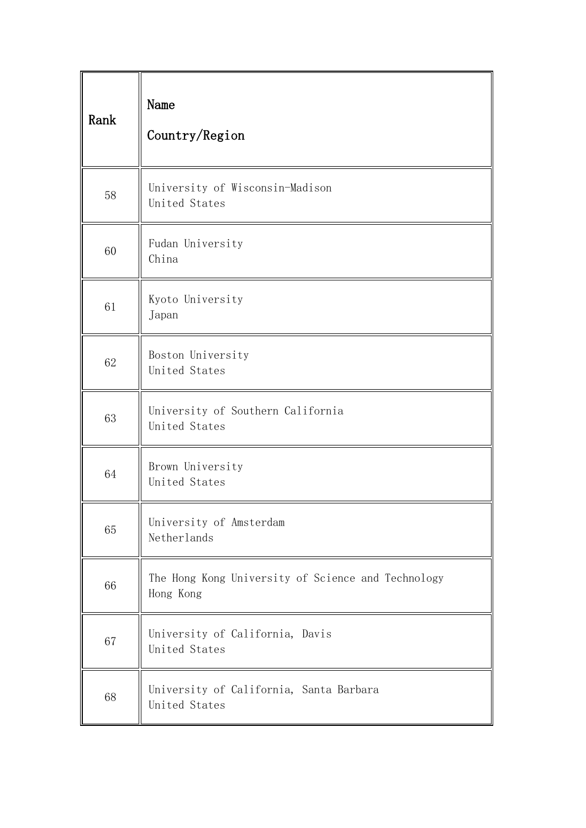| Rank | Name<br>Country/Region                                          |
|------|-----------------------------------------------------------------|
| 58   | University of Wisconsin-Madison<br>United States                |
| 60   | Fudan University<br>China                                       |
| 61   | Kyoto University<br>Japan                                       |
| 62   | Boston University<br>United States                              |
| 63   | University of Southern California<br>United States              |
| 64   | Brown University<br>United States                               |
| 65   | University of Amsterdam<br>Netherlands                          |
| 66   | The Hong Kong University of Science and Technology<br>Hong Kong |
| 67   | University of California, Davis<br>United States                |
| 68   | University of California, Santa Barbara<br>United States        |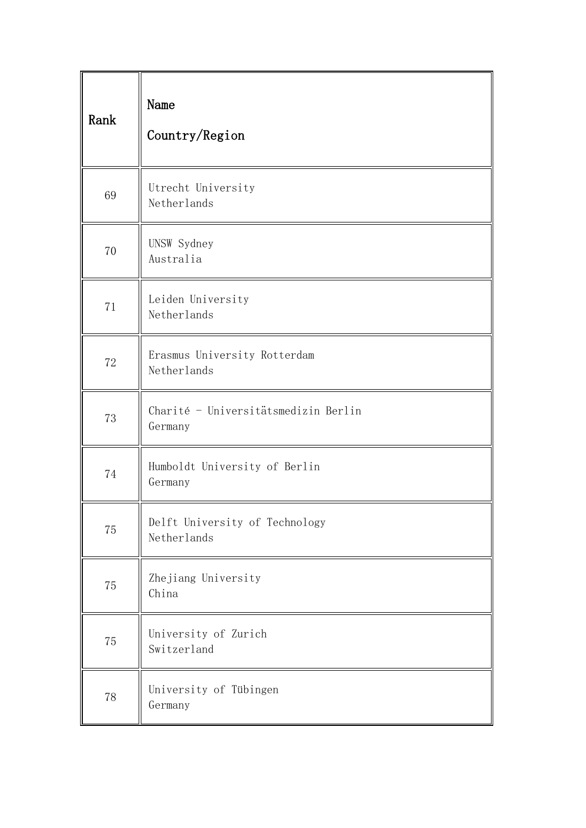| Rank | Name<br>Country/Region                          |
|------|-------------------------------------------------|
| 69   | Utrecht University<br>Netherlands               |
| 70   | UNSW Sydney<br>Australia                        |
| 71   | Leiden University<br>Netherlands                |
| 72   | Erasmus University Rotterdam<br>Netherlands     |
| 73   | Charité - Universitätsmedizin Berlin<br>Germany |
| 74   | Humboldt University of Berlin<br>Germany        |
| 75   | Delft University of Technology<br>Netherlands   |
| 75   | Zhejiang University<br>China                    |
| 75   | University of Zurich<br>Switzerland             |
| 78   | University of Tübingen<br>Germany               |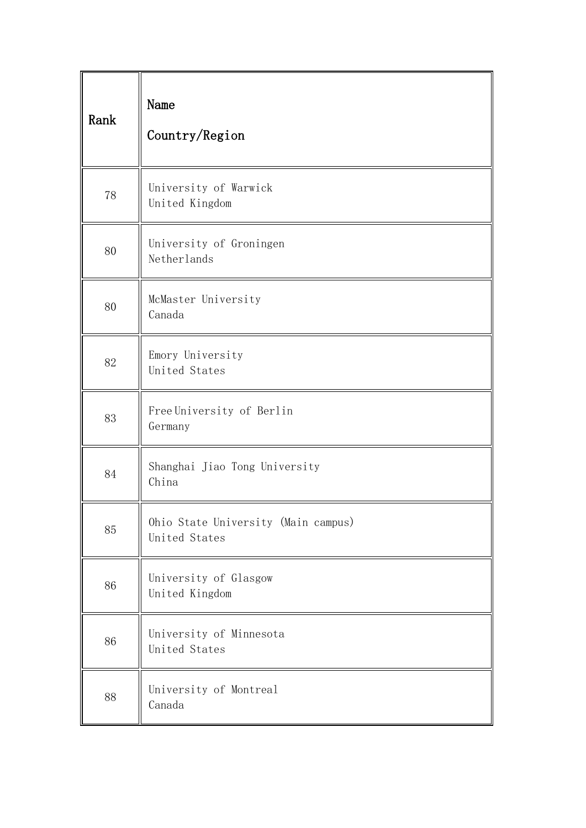| Rank | Name<br>Country/Region                               |
|------|------------------------------------------------------|
| 78   | University of Warwick<br>United Kingdom              |
| 80   | University of Groningen<br>Netherlands               |
| 80   | McMaster University<br>Canada                        |
| 82   | Emory University<br>United States                    |
| 83   | Free University of Berlin<br>Germany                 |
| 84   | Shanghai Jiao Tong University<br>China               |
| 85   | Ohio State University (Main campus)<br>United States |
| 86   | University of Glasgow<br>United Kingdom              |
| 86   | University of Minnesota<br>United States             |
| 88   | University of Montreal<br>Canada                     |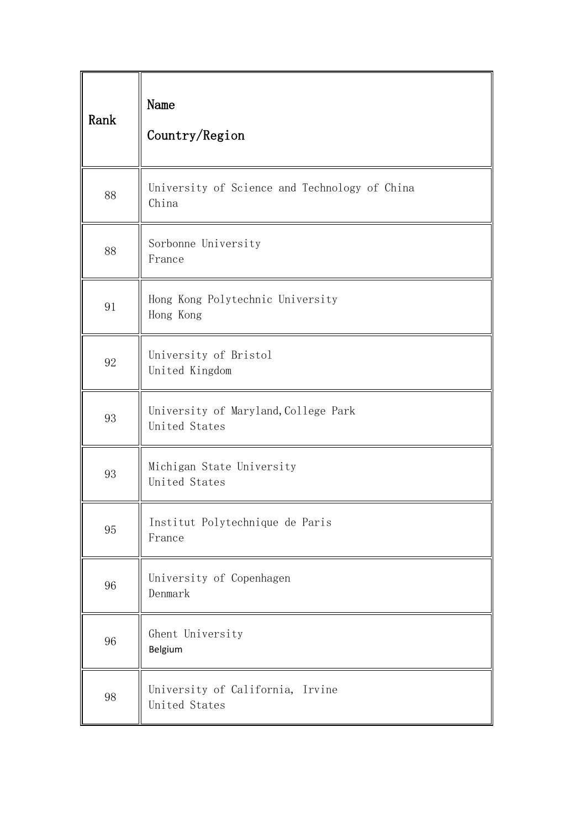| Rank   | Name<br>Country/Region                                 |
|--------|--------------------------------------------------------|
| 88     | University of Science and Technology of China<br>China |
| 88     | Sorbonne University<br>France                          |
| 91     | Hong Kong Polytechnic University<br>Hong Kong          |
| 92     | University of Bristol<br>United Kingdom                |
| 93     | University of Maryland, College Park<br>United States  |
| 93     | Michigan State University<br>United States             |
| 95     | Institut Polytechnique de Paris<br>France              |
| 96     | University of Copenhagen<br>Denmark                    |
| 96     | Ghent University<br>Belgium                            |
| $98\,$ | University of California, Irvine<br>United States      |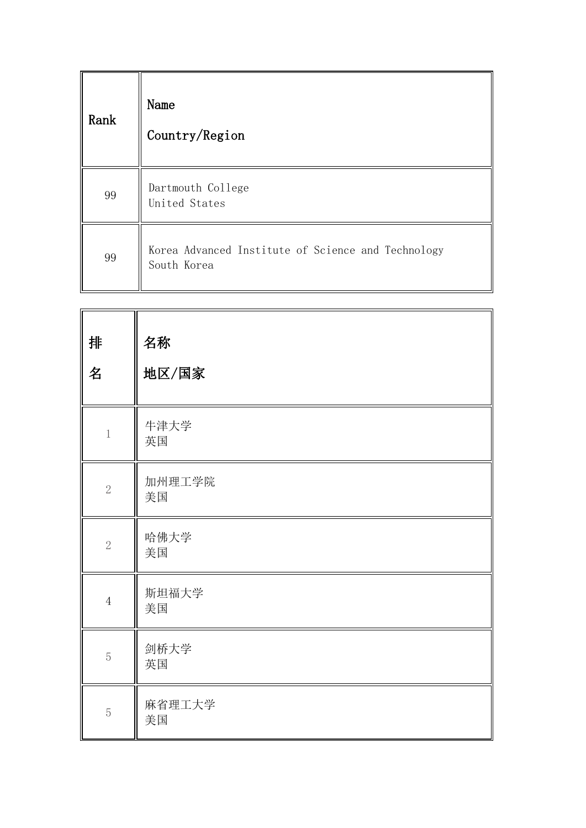| Rank | Name<br>Country/Region                                            |
|------|-------------------------------------------------------------------|
| 99   | Dartmouth College<br>United States                                |
| 99   | Korea Advanced Institute of Science and Technology<br>South Korea |

| 排<br>名         | 名称<br>地区/国家  |
|----------------|--------------|
| $\,1$          | 牛津大学<br>英国   |
| $\sqrt{2}$     | 加州理工学院<br>美国 |
| $\sqrt{2}$     | 哈佛大学<br>美国   |
| $\overline{4}$ | 斯坦福大学<br>美国  |
| $\overline{5}$ | 剑桥大学<br>英国   |
| $\overline{5}$ | 麻省理工大学<br>美国 |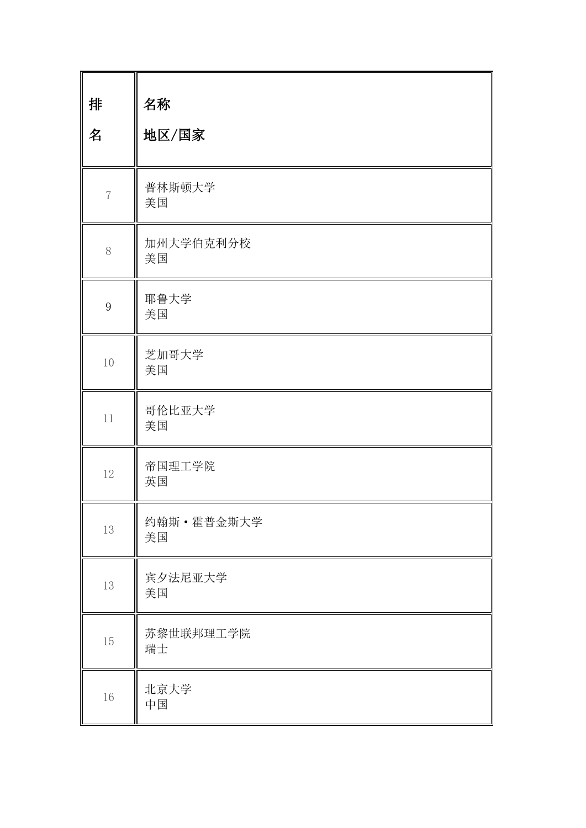| 排<br>名           | 名称<br>地区/国家        |
|------------------|--------------------|
| $\overline{7}$   | 普林斯顿大学<br>美国       |
| 8                | 加州大学伯克利分校<br>美国    |
| $\boldsymbol{9}$ | 耶鲁大学<br>美国         |
| 10               | 芝加哥大学<br>美国        |
| 11               | 哥伦比亚大学<br>美国       |
| 12               | 帝国理工学院<br>英国       |
| 13               | 约翰斯 · 霍普金斯大学<br>美国 |
| 13               | 宾夕法尼亚大学<br>美国      |
| 15               | 苏黎世联邦理工学院<br>瑞士    |
| $16\,$           | 北京大学<br>中国         |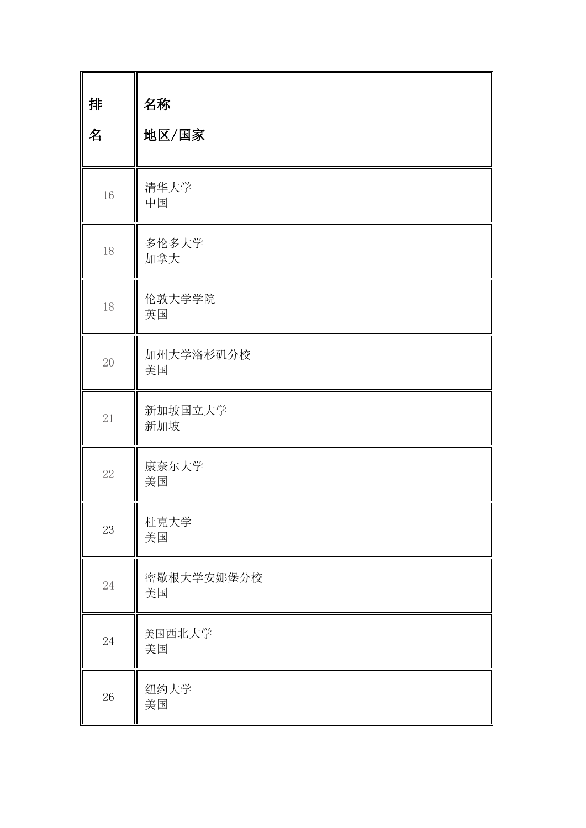| 排<br>名 | 名称<br>地区/国家      |
|--------|------------------|
| 16     | 清华大学<br>中国       |
| 18     | 多伦多大学<br>加拿大     |
| 18     | 伦敦大学学院<br>英国     |
| 20     | 加州大学洛杉矶分校<br>美国  |
| 21     | 新加坡国立大学<br>新加坡   |
| 22     | 康奈尔大学<br>美国      |
| 23     | 杜克大学<br>美国       |
| 24     | 密歇根大学安娜堡分校<br>美国 |
| 24     | 美国西北大学<br>美国     |
| $26\,$ | 纽约大学<br>美国       |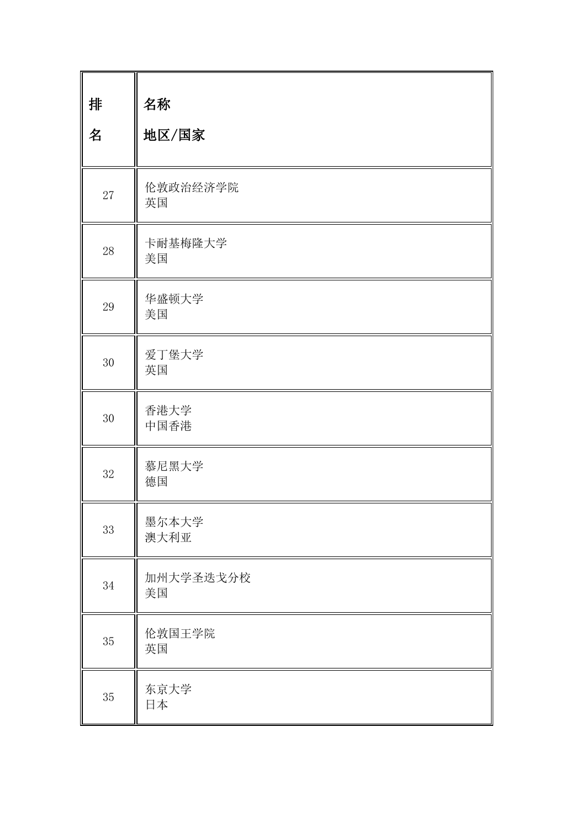| 排<br>名 | 名称<br>地区/国家     |
|--------|-----------------|
| 27     | 伦敦政治经济学院<br>英国  |
| 28     | 卡耐基梅隆大学<br>美国   |
| 29     | 华盛顿大学<br>美国     |
| 30     | 爱丁堡大学<br>英国     |
| 30     | 香港大学<br>中国香港    |
| 32     | 慕尼黑大学<br>德国     |
| 33     | 墨尔本大学<br>澳大利亚   |
| $34\,$ | 加州大学圣迭戈分校<br>美国 |
| $35\,$ | 伦敦国王学院<br>英国    |
| $35\,$ | 东京大学<br>日本      |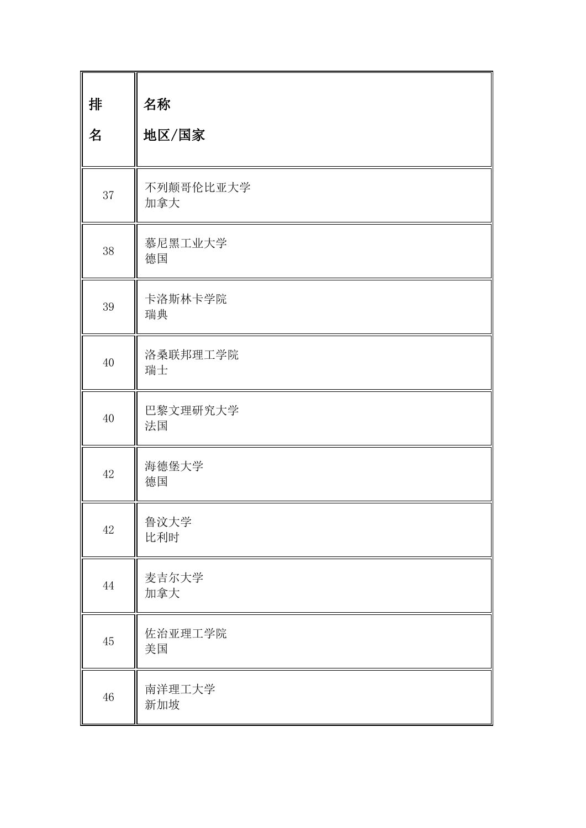| 排<br>名 | 名称<br>地区/国家      |
|--------|------------------|
| 37     | 不列颠哥伦比亚大学<br>加拿大 |
| 38     | 慕尼黑工业大学<br>德国    |
| 39     | 卡洛斯林卡学院<br>瑞典    |
| 40     | 洛桑联邦理工学院<br>瑞士   |
| 40     | 巴黎文理研究大学<br>法国   |
| 42     | 海德堡大学<br>德国      |
| $42\,$ | 鲁汶大学<br>比利时      |
| 44     | 麦吉尔大学<br>加拿大     |
| 45     | 佐治亚理工学院<br>美国    |
| $46\,$ | 南洋理工大学<br>新加坡    |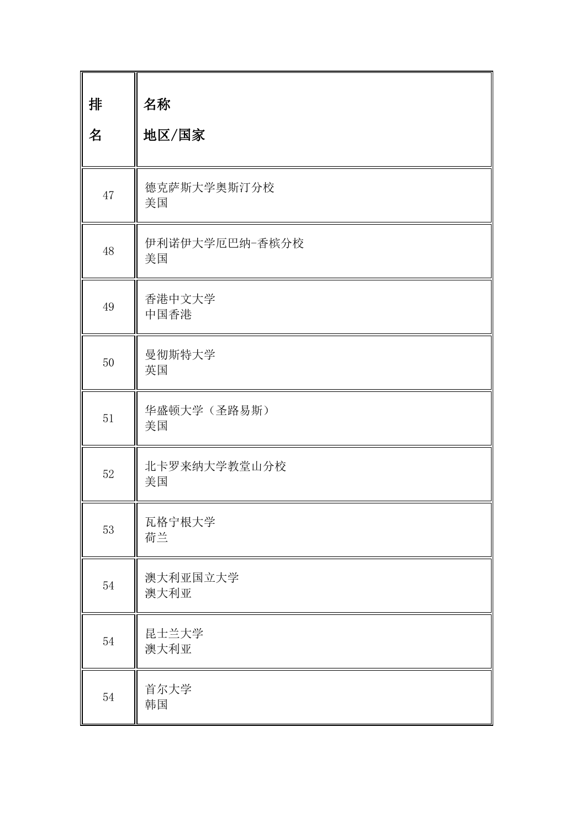| 排<br>名 | 名称<br>地区/国家          |
|--------|----------------------|
| 47     | 德克萨斯大学奥斯汀分校<br>美国    |
| 48     | 伊利诺伊大学厄巴纳-香槟分校<br>美国 |
| 49     | 香港中文大学<br>中国香港       |
| 50     | 曼彻斯特大学<br>英国         |
| 51     | 华盛顿大学(圣路易斯)<br>美国    |
| 52     | 北卡罗来纳大学教堂山分校<br>美国   |
| 53     | 瓦格宁根大学<br>荷兰         |
| 54     | 澳大利亚国立大学<br>澳大利亚     |
| 54     | 昆士兰大学<br>澳大利亚        |
| 54     | 首尔大学<br>韩国           |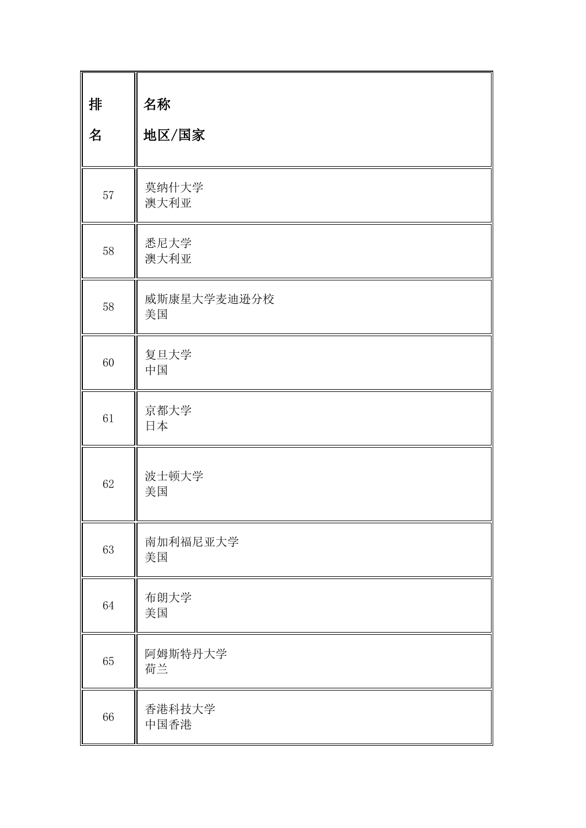| 排<br>名 | 名称<br>地区/国家       |
|--------|-------------------|
| 57     | 莫纳什大学<br>澳大利亚     |
| 58     | 悉尼大学<br>澳大利亚      |
| $58\,$ | 威斯康星大学麦迪逊分校<br>美国 |
| 60     | 复旦大学<br>中国        |
| 61     | 京都大学<br>日本        |
| 62     | 波士顿大学<br>美国       |
| 63     | 南加利福尼亚大学<br>美国    |
| 64     | 布朗大学<br>美国        |
| 65     | 阿姆斯特丹大学<br>荷兰     |
| 66     | 香港科技大学<br>中国香港    |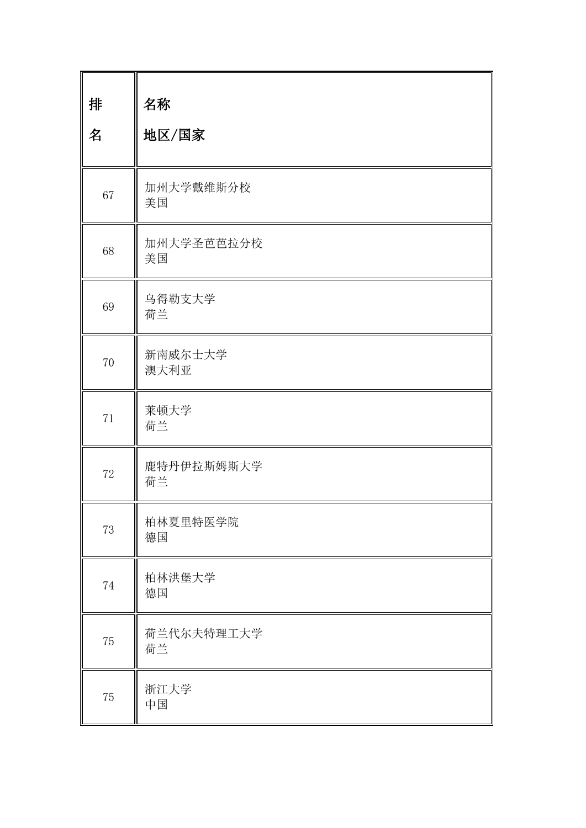| 排  | 名称               |
|----|------------------|
| 名  | 地区/国家            |
| 67 | 加州大学戴维斯分校<br>美国  |
| 68 | 加州大学圣芭芭拉分校<br>美国 |
| 69 | 乌得勒支大学<br>荷兰     |
| 70 | 新南威尔士大学<br>澳大利亚  |
| 71 | 莱顿大学<br>荷兰       |
| 72 | 鹿特丹伊拉斯姆斯大学<br>荷兰 |
| 73 | 柏林夏里特医学院<br>德国   |
| 74 | 柏林洪堡大学<br>德国     |
| 75 | 荷兰代尔夫特理工大学<br>荷兰 |
| 75 | 浙江大学<br>中国       |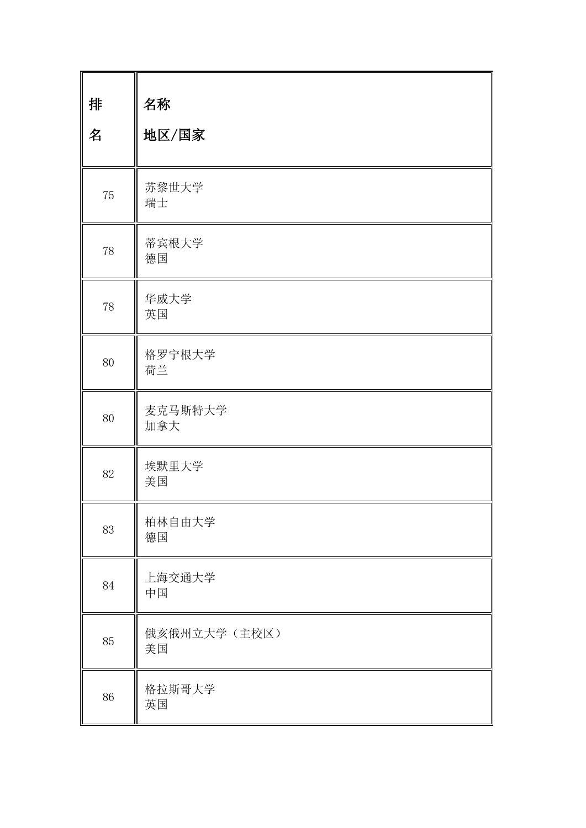| 排<br>名 | 名称<br>地区/国家        |
|--------|--------------------|
| 75     | 苏黎世大学<br>瑞士        |
| 78     | 蒂宾根大学<br>德国        |
| 78     | 华威大学<br>英国         |
| 80     | 格罗宁根大学<br>荷兰       |
| 80     | 麦克马斯特大学<br>加拿大     |
| 82     | 埃默里大学<br>美国        |
| 83     | 柏林自由大学<br>德国       |
| 84     | 上海交通大学<br>中国       |
| 85     | 俄亥俄州立大学(主校区)<br>美国 |
| 86     | 格拉斯哥大学<br>英国       |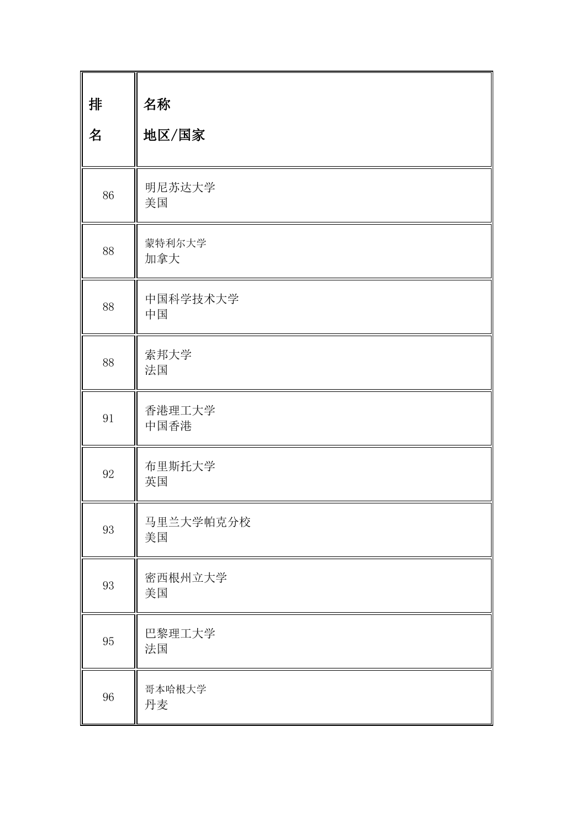| 排<br>名 | 名称<br>地区/国家     |
|--------|-----------------|
| 86     | 明尼苏达大学<br>美国    |
| 88     | 蒙特利尔大学<br>加拿大   |
| 88     | 中国科学技术大学<br>中国  |
| 88     | 索邦大学<br>法国      |
| 91     | 香港理工大学<br>中国香港  |
| 92     | 布里斯托大学<br>英国    |
| 93     | 马里兰大学帕克分校<br>美国 |
| 93     | 密西根州立大学<br>美国   |
| 95     | 巴黎理工大学<br>法国    |
| 96     | 哥本哈根大学<br>丹麦    |